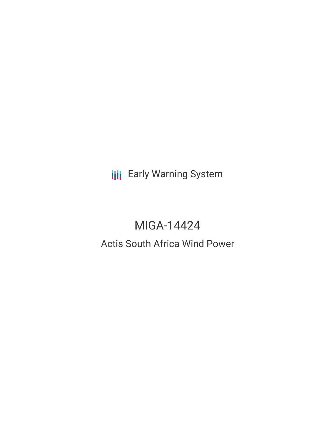**III** Early Warning System

# MIGA-14424

# Actis South Africa Wind Power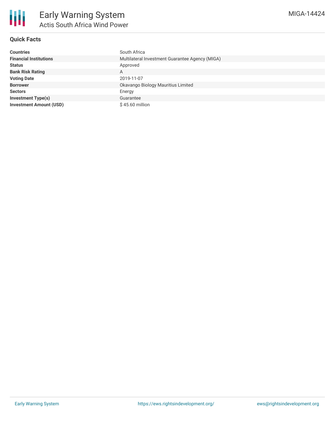

## **Quick Facts**

| <b>Countries</b>               | South Africa                                    |
|--------------------------------|-------------------------------------------------|
| <b>Financial Institutions</b>  | Multilateral Investment Guarantee Agency (MIGA) |
| <b>Status</b>                  | Approved                                        |
| <b>Bank Risk Rating</b>        | А                                               |
| <b>Voting Date</b>             | 2019-11-07                                      |
| <b>Borrower</b>                | Okavango Biology Mauritius Limited              |
| <b>Sectors</b>                 | Energy                                          |
| <b>Investment Type(s)</b>      | Guarantee                                       |
| <b>Investment Amount (USD)</b> | $$45.60$ million                                |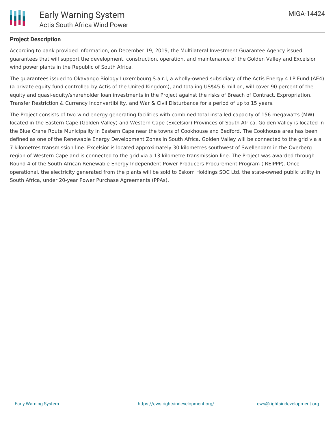

#### **Project Description**

According to bank provided information, on December 19, 2019, the Multilateral Investment Guarantee Agency issued guarantees that will support the development, construction, operation, and maintenance of the Golden Valley and Excelsior wind power plants in the Republic of South Africa.

The guarantees issued to Okavango Biology Luxembourg S.a.r.l, a wholly-owned subsidiary of the Actis Energy 4 LP Fund (AE4) (a private equity fund controlled by Actis of the United Kingdom), and totaling US\$45.6 million, will cover 90 percent of the equity and quasi-equity/shareholder loan investments in the Project against the risks of Breach of Contract, Expropriation, Transfer Restriction & Currency Inconvertibility, and War & Civil Disturbance for a period of up to 15 years.

The Project consists of two wind energy generating facilities with combined total installed capacity of 156 megawatts (MW) located in the Eastern Cape (Golden Valley) and Western Cape (Excelsior) Provinces of South Africa. Golden Valley is located in the Blue Crane Route Municipality in Eastern Cape near the towns of Cookhouse and Bedford. The Cookhouse area has been defined as one of the Renewable Energy Development Zones in South Africa. Golden Valley will be connected to the grid via a 7 kilometres transmission line. Excelsior is located approximately 30 kilometres southwest of Swellendam in the Overberg region of Western Cape and is connected to the grid via a 13 kilometre transmission line. The Project was awarded through Round 4 of the South African Renewable Energy Independent Power Producers Procurement Program ( REIPPP). Once operational, the electricity generated from the plants will be sold to Eskom Holdings SOC Ltd, the state-owned public utility in South Africa, under 20-year Power Purchase Agreements (PPAs).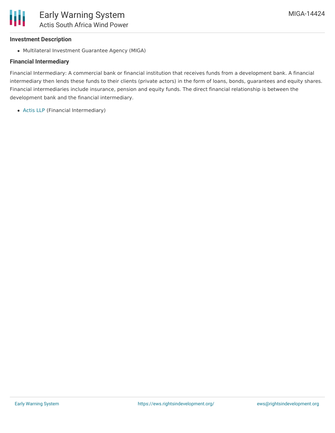# **Investment Description**

Multilateral Investment Guarantee Agency (MIGA)

# **Financial Intermediary**

Financial Intermediary: A commercial bank or financial institution that receives funds from a development bank. A financial intermediary then lends these funds to their clients (private actors) in the form of loans, bonds, guarantees and equity shares. Financial intermediaries include insurance, pension and equity funds. The direct financial relationship is between the development bank and the financial intermediary.

[Actis](file:///actor/218/) LLP (Financial Intermediary)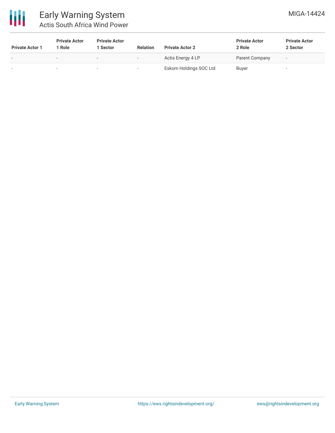

| <b>Private Actor 1</b> | <b>Private Actor</b><br>1 Role | <b>Private Actor</b><br>l Sector | <b>Relation</b>          | <b>Private Actor 2</b> | <b>Private Actor</b><br>2 Role | <b>Private Actor</b><br>2 Sector |
|------------------------|--------------------------------|----------------------------------|--------------------------|------------------------|--------------------------------|----------------------------------|
|                        | -                              | $\overline{\phantom{a}}$         | $\overline{\phantom{0}}$ | Actis Energy 4 LP      | Parent Company                 | $\overline{\phantom{a}}$         |
|                        |                                |                                  | $\overline{\phantom{a}}$ | Eskom Holdings SOC Ltd | <b>Buyer</b>                   | -                                |